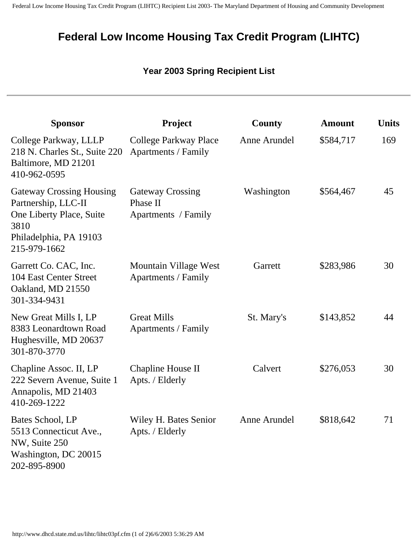## **Federal Low Income Housing Tax Credit Program (LIHTC)**

## **Year 2003 Spring Recipient List**

| <b>Sponsor</b>                                                                                                                       | <b>Project</b>                                             | County       | <b>Amount</b> | <b>Units</b> |
|--------------------------------------------------------------------------------------------------------------------------------------|------------------------------------------------------------|--------------|---------------|--------------|
| College Parkway, LLLP<br>218 N. Charles St., Suite 220<br>Baltimore, MD 21201<br>410-962-0595                                        | College Parkway Place<br><b>Apartments / Family</b>        | Anne Arundel | \$584,717     | 169          |
| <b>Gateway Crossing Housing</b><br>Partnership, LLC-II<br>One Liberty Place, Suite<br>3810<br>Philadelphia, PA 19103<br>215-979-1662 | <b>Gateway Crossing</b><br>Phase II<br>Apartments / Family | Washington   | \$564,467     | 45           |
| Garrett Co. CAC, Inc.<br>104 East Center Street<br>Oakland, MD 21550<br>301-334-9431                                                 | Mountain Village West<br><b>Apartments / Family</b>        | Garrett      | \$283,986     | 30           |
| New Great Mills I, LP<br>8383 Leonardtown Road<br>Hughesville, MD 20637<br>301-870-3770                                              | <b>Great Mills</b><br>Apartments / Family                  | St. Mary's   | \$143,852     | 44           |
| Chapline Assoc. II, LP<br>222 Severn Avenue, Suite 1<br>Annapolis, MD 21403<br>410-269-1222                                          | Chapline House II<br>Apts. / Elderly                       | Calvert      | \$276,053     | 30           |
| Bates School, LP<br>5513 Connecticut Ave.,<br>NW, Suite 250<br>Washington, DC 20015<br>202-895-8900                                  | Wiley H. Bates Senior<br>Apts. / Elderly                   | Anne Arundel | \$818,642     | 71           |